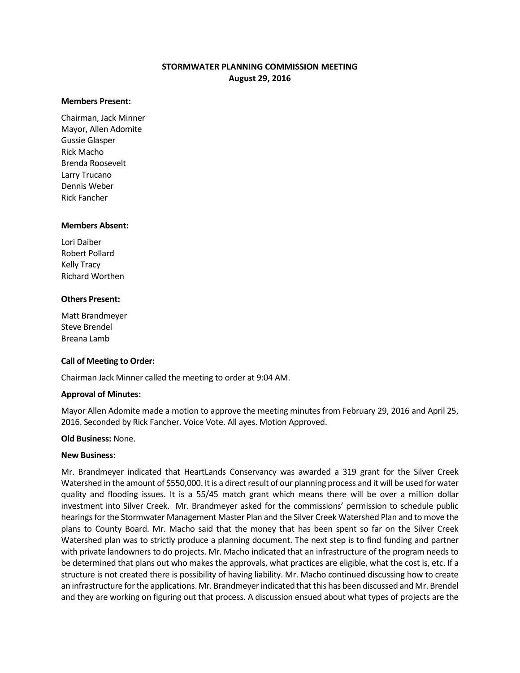# **STORMWATER PLANNING COMMISSION MEETING August 29, 2016**

#### **Members Present:**

Chairman, Jack Minner Mayor, Allen Adomite Gussie Glasper Rick Macho Brenda Roosevelt Larry Trucano Dennis Weber Rick Fancher

#### **Members Absent:**

Lori Daiber Robert Pollard Kelly Tracy Richard Worthen

## **Others Present:**

Matt Brandmeyer Steve Brendel Breana Lamb

## **Call of Meeting to Order:**

Chairman Jack Minner called the meeting to order at 9:04 AM.

## **Approval of Minutes:**

Mayor Allen Adomite made a motion to approve the meeting minutes from February 29, 2016 and April 25, 2016. Seconded by Rick Fancher. Voice Vote. All ayes. Motion Approved.

## **Old Business:** None.

## **New Business:**

Mr. Brandmeyer indicated that HeartLands Conservancy was awarded a 319 grant for the Silver Creek Watershed in the amount of \$550,000. It is a direct result of our planning process and it will be used for water quality and flooding issues. It is a 55/45 match grant which means there will be over a million dollar investment into Silver Creek. Mr. Brandmeyer asked for the commissions' permission to schedule public hearings for the Stormwater Management Master Plan and the Silver Creek Watershed Plan and to move the plans to County Board. Mr. Macho said that the money that has been spent so far on the Silver Creek Watershed plan was to strictly produce a planning document. The next step is to find funding and partner with private landowners to do projects. Mr. Macho indicated that an infrastructure of the program needs to be determined that plans out who makes the approvals, what practices are eligible, what the cost is, etc. If a structure is not created there is possibility of having liability. Mr. Macho continued discussing how to create an infrastructure for the applications. Mr. Brandmeyer indicated that this has been discussed and Mr. Brendel and they are working on figuring out that process. A discussion ensued about what types of projects are the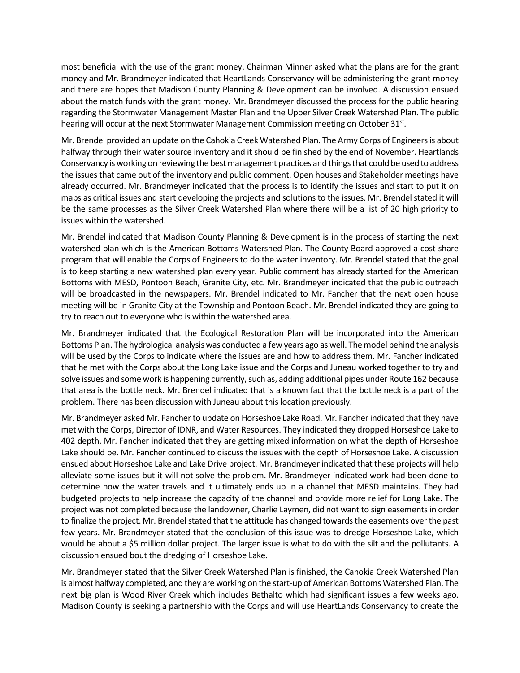most beneficial with the use of the grant money. Chairman Minner asked what the plans are for the grant money and Mr. Brandmeyer indicated that HeartLands Conservancy will be administering the grant money and there are hopes that Madison County Planning & Development can be involved. A discussion ensued about the match funds with the grant money. Mr. Brandmeyer discussed the process for the public hearing regarding the Stormwater Management Master Plan and the Upper Silver Creek Watershed Plan. The public hearing will occur at the next Stormwater Management Commission meeting on October 31st.

Mr. Brendel provided an update on the Cahokia Creek Watershed Plan. The Army Corps of Engineers is about halfway through their water source inventory and it should be finished by the end of November. Heartlands Conservancy is working on reviewing the best management practices and things that could be used to address the issues that came out of the inventory and public comment. Open houses and Stakeholder meetings have already occurred. Mr. Brandmeyer indicated that the process is to identify the issues and start to put it on maps as critical issues and start developing the projects and solutions to the issues. Mr. Brendel stated it will be the same processes as the Silver Creek Watershed Plan where there will be a list of 20 high priority to issues within the watershed.

Mr. Brendel indicated that Madison County Planning & Development is in the process of starting the next watershed plan which is the American Bottoms Watershed Plan. The County Board approved a cost share program that will enable the Corps of Engineers to do the water inventory. Mr. Brendel stated that the goal is to keep starting a new watershed plan every year. Public comment has already started for the American Bottoms with MESD, Pontoon Beach, Granite City, etc. Mr. Brandmeyer indicated that the public outreach will be broadcasted in the newspapers. Mr. Brendel indicated to Mr. Fancher that the next open house meeting will be in Granite City at the Township and Pontoon Beach. Mr. Brendel indicated they are going to try to reach out to everyone who is within the watershed area.

Mr. Brandmeyer indicated that the Ecological Restoration Plan will be incorporated into the American Bottoms Plan. The hydrological analysis was conducted a few years ago as well. The model behind the analysis will be used by the Corps to indicate where the issues are and how to address them. Mr. Fancher indicated that he met with the Corps about the Long Lake issue and the Corps and Juneau worked together to try and solve issues and some work is happening currently, such as, adding additional pipes under Route 162 because that area is the bottle neck. Mr. Brendel indicated that is a known fact that the bottle neck is a part of the problem. There has been discussion with Juneau about this location previously.

Mr. Brandmeyer asked Mr. Fancher to update on Horseshoe Lake Road. Mr. Fancher indicated that they have met with the Corps, Director of IDNR, and Water Resources. They indicated they dropped Horseshoe Lake to 402 depth. Mr. Fancher indicated that they are getting mixed information on what the depth of Horseshoe Lake should be. Mr. Fancher continued to discuss the issues with the depth of Horseshoe Lake. A discussion ensued about Horseshoe Lake and Lake Drive project. Mr. Brandmeyer indicated that these projects will help alleviate some issues but it will not solve the problem. Mr. Brandmeyer indicated work had been done to determine how the water travels and it ultimately ends up in a channel that MESD maintains. They had budgeted projects to help increase the capacity of the channel and provide more relief for Long Lake. The project was not completed because the landowner, Charlie Laymen, did not want to sign easements in order to finalize the project. Mr. Brendel stated that the attitude has changed towards the easements over the past few years. Mr. Brandmeyer stated that the conclusion of this issue was to dredge Horseshoe Lake, which would be about a \$5 million dollar project. The larger issue is what to do with the silt and the pollutants. A discussion ensued bout the dredging of Horseshoe Lake.

Mr. Brandmeyer stated that the Silver Creek Watershed Plan is finished, the Cahokia Creek Watershed Plan is almost halfway completed, and they are working on the start-up of American Bottoms Watershed Plan. The next big plan is Wood River Creek which includes Bethalto which had significant issues a few weeks ago. Madison County is seeking a partnership with the Corps and will use HeartLands Conservancy to create the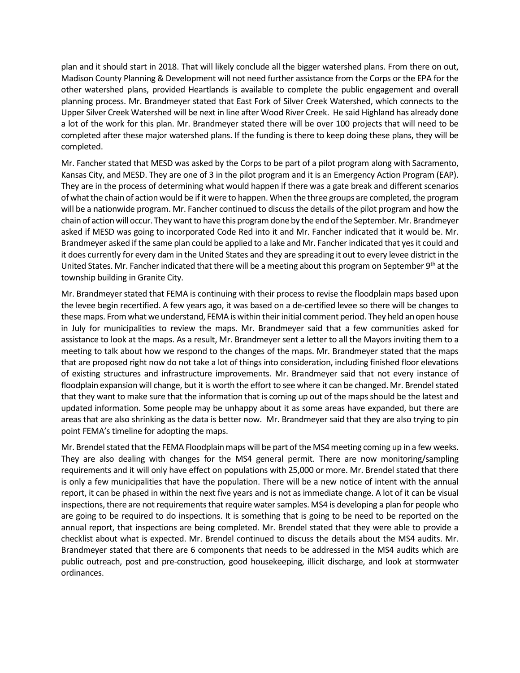plan and it should start in 2018. That will likely conclude all the bigger watershed plans. From there on out, Madison County Planning & Development will not need further assistance from the Corps or the EPA for the other watershed plans, provided Heartlands is available to complete the public engagement and overall planning process. Mr. Brandmeyer stated that East Fork of Silver Creek Watershed, which connects to the Upper Silver Creek Watershed will be next in line after Wood River Creek. He said Highland has already done a lot of the work for this plan. Mr. Brandmeyer stated there will be over 100 projects that will need to be completed after these major watershed plans. If the funding is there to keep doing these plans, they will be completed.

Mr. Fancher stated that MESD was asked by the Corps to be part of a pilot program along with Sacramento, Kansas City, and MESD. They are one of 3 in the pilot program and it is an Emergency Action Program (EAP). They are in the process of determining what would happen if there was a gate break and different scenarios of what the chain of action would be if it were to happen. When the three groups are completed, the program will be a nationwide program. Mr. Fancher continued to discuss the details of the pilot program and how the chain of action will occur. They want to have this program done by the end of the September. Mr. Brandmeyer asked if MESD was going to incorporated Code Red into it and Mr. Fancher indicated that it would be. Mr. Brandmeyer asked if the same plan could be applied to a lake and Mr. Fancher indicated that yes it could and it does currently for every dam in the United States and they are spreading it out to every levee district in the United States. Mr. Fancher indicated that there will be a meeting about this program on September 9<sup>th</sup> at the township building in Granite City.

Mr. Brandmeyer stated that FEMA is continuing with their process to revise the floodplain maps based upon the levee begin recertified. A few years ago, it was based on a de-certified levee so there will be changes to these maps. From what we understand, FEMA is within their initial comment period. They held an open house in July for municipalities to review the maps. Mr. Brandmeyer said that a few communities asked for assistance to look at the maps. As a result, Mr. Brandmeyer sent a letter to all the Mayors inviting them to a meeting to talk about how we respond to the changes of the maps. Mr. Brandmeyer stated that the maps that are proposed right now do not take a lot of things into consideration, including finished floor elevations of existing structures and infrastructure improvements. Mr. Brandmeyer said that not every instance of floodplain expansion will change, but it is worth the effort to see where it can be changed. Mr. Brendel stated that they want to make sure that the information that is coming up out of the maps should be the latest and updated information. Some people may be unhappy about it as some areas have expanded, but there are areas that are also shrinking as the data is better now. Mr. Brandmeyer said that they are also trying to pin point FEMA's timeline for adopting the maps.

Mr. Brendel stated that the FEMA Floodplain maps will be part of the MS4 meeting coming up in a few weeks. They are also dealing with changes for the MS4 general permit. There are now monitoring/sampling requirements and it will only have effect on populations with 25,000 or more. Mr. Brendel stated that there is only a few municipalities that have the population. There will be a new notice of intent with the annual report, it can be phased in within the next five years and is not as immediate change. A lot of it can be visual inspections, there are not requirements that require water samples. MS4 is developing a plan for people who are going to be required to do inspections. It is something that is going to be need to be reported on the annual report, that inspections are being completed. Mr. Brendel stated that they were able to provide a checklist about what is expected. Mr. Brendel continued to discuss the details about the MS4 audits. Mr. Brandmeyer stated that there are 6 components that needs to be addressed in the MS4 audits which are public outreach, post and pre-construction, good housekeeping, illicit discharge, and look at stormwater ordinances.